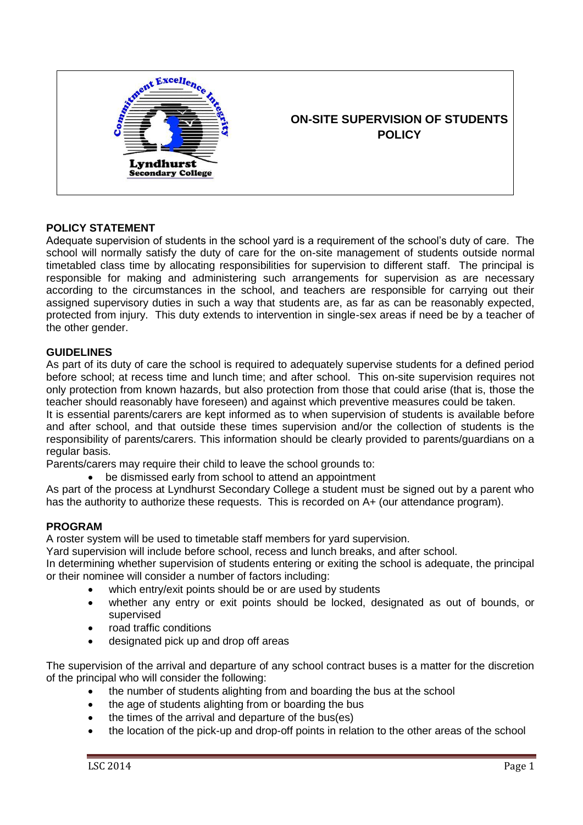

# **POLICY STATEMENT**

Adequate supervision of students in the school yard is a requirement of the school's duty of care. The school will normally satisfy the duty of care for the on-site management of students outside normal timetabled class time by allocating responsibilities for supervision to different staff. The principal is responsible for making and administering such arrangements for supervision as are necessary according to the circumstances in the school, and teachers are responsible for carrying out their assigned supervisory duties in such a way that students are, as far as can be reasonably expected, protected from injury. This duty extends to intervention in single-sex areas if need be by a teacher of the other gender.

# **GUIDELINES**

As part of its duty of care the school is required to adequately supervise students for a defined period before school; at recess time and lunch time; and after school. This on-site supervision requires not only protection from known hazards, but also protection from those that could arise (that is, those the teacher should reasonably have foreseen) and against which preventive measures could be taken. It is essential parents/carers are kept informed as to when supervision of students is available before and after school, and that outside these times supervision and/or the collection of students is the responsibility of parents/carers. This information should be clearly provided to parents/guardians on a regular basis.

Parents/carers may require their child to leave the school grounds to:

be dismissed early from school to attend an appointment

As part of the process at Lyndhurst Secondary College a student must be signed out by a parent who has the authority to authorize these requests. This is recorded on A+ (our attendance program).

### **PROGRAM**

A roster system will be used to timetable staff members for yard supervision.

Yard supervision will include before school, recess and lunch breaks, and after school.

In determining whether supervision of students entering or exiting the school is adequate, the principal or their nominee will consider a number of factors including:

- which entry/exit points should be or are used by students
- whether any entry or exit points should be locked, designated as out of bounds, or supervised
- road traffic conditions
- designated pick up and drop off areas

The supervision of the arrival and departure of any school contract buses is a matter for the discretion of the principal who will consider the following:

- the number of students alighting from and boarding the bus at the school
- the age of students alighting from or boarding the bus
- the times of the arrival and departure of the bus(es)
- the location of the pick-up and drop-off points in relation to the other areas of the school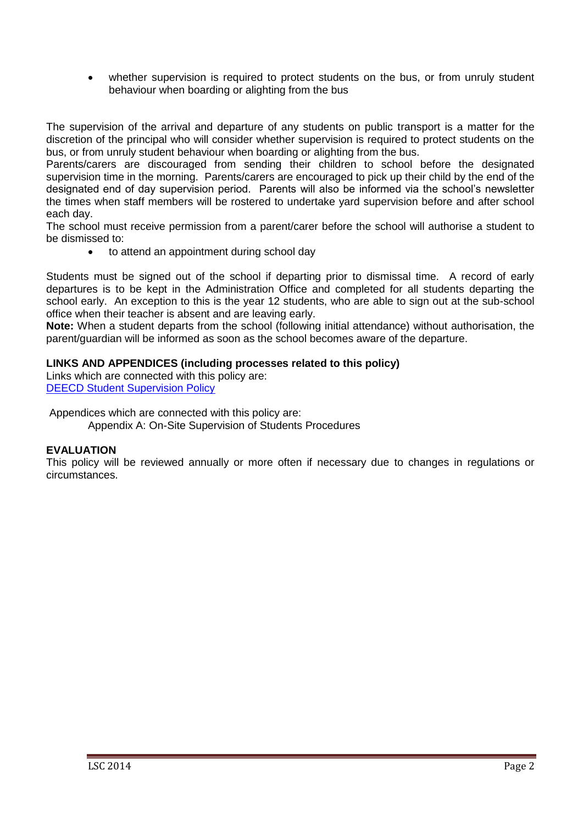whether supervision is required to protect students on the bus, or from unruly student behaviour when boarding or alighting from the bus

The supervision of the arrival and departure of any students on public transport is a matter for the discretion of the principal who will consider whether supervision is required to protect students on the bus, or from unruly student behaviour when boarding or alighting from the bus.

Parents/carers are discouraged from sending their children to school before the designated supervision time in the morning. Parents/carers are encouraged to pick up their child by the end of the designated end of day supervision period. Parents will also be informed via the school's newsletter the times when staff members will be rostered to undertake yard supervision before and after school each day.

The school must receive permission from a parent/carer before the school will authorise a student to be dismissed to:

to attend an appointment during school day

Students must be signed out of the school if departing prior to dismissal time. A record of early departures is to be kept in the Administration Office and completed for all students departing the school early. An exception to this is the year 12 students, who are able to sign out at the sub-school office when their teacher is absent and are leaving early.

**Note:** When a student departs from the school (following initial attendance) without authorisation, the parent/guardian will be informed as soon as the school becomes aware of the departure.

# **LINKS AND APPENDICES (including processes related to this policy)**

Links which are connected with this policy are: **[DEECD Student Supervision Policy](http://www.education.vic.gov.au/school/principals/spag/safety/Pages/supervision.aspx#mainContent)** 

Appendices which are connected with this policy are:

Appendix A: On-Site Supervision of Students Procedures

# **EVALUATION**

This policy will be reviewed annually or more often if necessary due to changes in regulations or circumstances.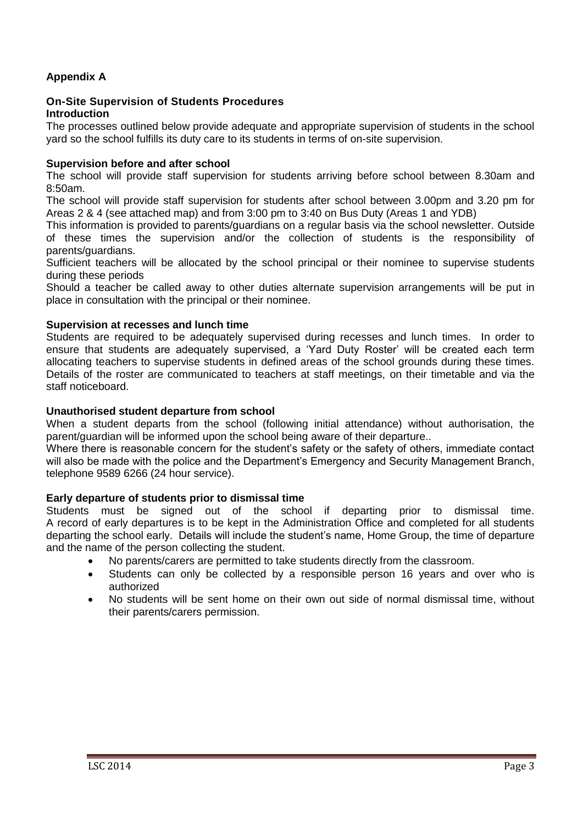# **Appendix A**

#### **On-Site Supervision of Students Procedures Introduction**

The processes outlined below provide adequate and appropriate supervision of students in the school yard so the school fulfills its duty care to its students in terms of on-site supervision.

#### **Supervision before and after school**

The school will provide staff supervision for students arriving before school between 8.30am and 8:50am.

The school will provide staff supervision for students after school between 3.00pm and 3.20 pm for Areas 2 & 4 (see attached map) and from 3:00 pm to 3:40 on Bus Duty (Areas 1 and YDB)

This information is provided to parents/guardians on a regular basis via the school newsletter. Outside of these times the supervision and/or the collection of students is the responsibility of parents/guardians.

Sufficient teachers will be allocated by the school principal or their nominee to supervise students during these periods

Should a teacher be called away to other duties alternate supervision arrangements will be put in place in consultation with the principal or their nominee.

#### **Supervision at recesses and lunch time**

Students are required to be adequately supervised during recesses and lunch times. In order to ensure that students are adequately supervised, a 'Yard Duty Roster' will be created each term allocating teachers to supervise students in defined areas of the school grounds during these times. Details of the roster are communicated to teachers at staff meetings, on their timetable and via the staff noticeboard.

#### **Unauthorised student departure from school**

When a student departs from the school (following initial attendance) without authorisation, the parent/guardian will be informed upon the school being aware of their departure..

Where there is reasonable concern for the student's safety or the safety of others, immediate contact will also be made with the police and the Department's Emergency and Security Management Branch, telephone 9589 6266 (24 hour service).

### **Early departure of students prior to dismissal time**

Students must be signed out of the school if departing prior to dismissal time. A record of early departures is to be kept in the Administration Office and completed for all students departing the school early. Details will include the student's name, Home Group, the time of departure and the name of the person collecting the student.

- No parents/carers are permitted to take students directly from the classroom.
- Students can only be collected by a responsible person 16 years and over who is authorized
- No students will be sent home on their own out side of normal dismissal time, without their parents/carers permission.